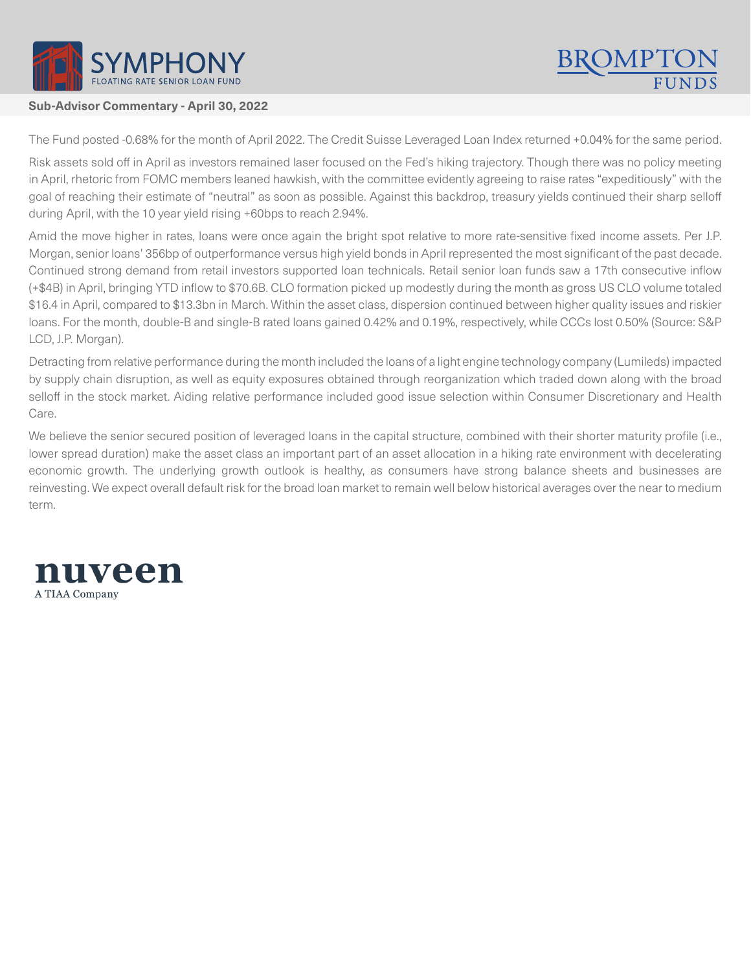

## **Sub-Advisor Commentary - April 30, 2022**

The Fund posted -0.68% for the month of April 2022. The Credit Suisse Leveraged Loan Index returned +0.04% for the same period.

Risk assets sold off in April as investors remained laser focused on the Fed's hiking trajectory. Though there was no policy meeting in April, rhetoric from FOMC members leaned hawkish, with the committee evidently agreeing to raise rates "expeditiously" with the goal of reaching their estimate of "neutral" as soon as possible. Against this backdrop, treasury yields continued their sharp selloff during April, with the 10 year yield rising +60bps to reach 2.94%.

Amid the move higher in rates, loans were once again the bright spot relative to more rate-sensitive fixed income assets. Per J.P. Morgan, senior loans' 356bp of outperformance versus high yield bonds in April represented the most significant of the past decade. Continued strong demand from retail investors supported loan technicals. Retail senior loan funds saw a 17th consecutive inflow (+\$4B) in April, bringing YTD inflow to \$70.6B. CLO formation picked up modestly during the month as gross US CLO volume totaled \$16.4 in April, compared to \$13.3bn in March. Within the asset class, dispersion continued between higher quality issues and riskier loans. For the month, double-B and single-B rated loans gained 0.42% and 0.19%, respectively, while CCCs lost 0.50% (Source: S&P LCD, J.P. Morgan).

Detracting from relative performance during the month included the loans of a light engine technology company (Lumileds) impacted by supply chain disruption, as well as equity exposures obtained through reorganization which traded down along with the broad selloff in the stock market. Aiding relative performance included good issue selection within Consumer Discretionary and Health Care.

We believe the senior secured position of leveraged loans in the capital structure, combined with their shorter maturity profile (i.e., lower spread duration) make the asset class an important part of an asset allocation in a hiking rate environment with decelerating economic growth. The underlying growth outlook is healthy, as consumers have strong balance sheets and businesses are reinvesting. We expect overall default risk for the broad loan market to remain well below historical averages over the near to medium term.